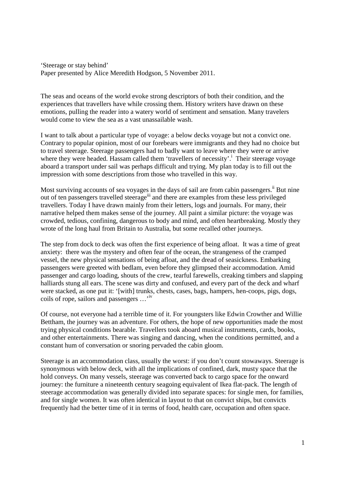'Steerage or stay behind' Paper presented by Alice Meredith Hodgson, 5 November 2011.

The seas and oceans of the world evoke strong descriptors of both their condition, and the experiences that travellers have while crossing them. History writers have drawn on these emotions, pulling the reader into a watery world of sentiment and sensation. Many travelers would come to view the sea as a vast unassailable wash.

I want to talk about a particular type of voyage: a below decks voyage but not a convict one. Contrary to popular opinion, most of our forebears were immigrants and they had no choice but to travel steerage. Steerage passengers had to badly want to leave where they were or arrive where they were headed. Hassam called them 'travellers of necessity'.<sup>1</sup> Their steerage voyage aboard a transport under sail was perhaps difficult and trying. My plan today is to fill out the impression with some descriptions from those who travelled in this way.

Most surviving accounts of sea voyages in the days of sail are from cabin passengers.<sup>ii</sup> But nine out of ten passengers travelled steerage<sup>iii</sup> and there are examples from these less privileged travellers. Today I have drawn mainly from their letters, logs and journals. For many, their narrative helped them makes sense of the journey. All paint a similar picture: the voyage was crowded, tedious, confining, dangerous to body and mind, and often heartbreaking. Mostly they wrote of the long haul from Britain to Australia, but some recalled other journeys.

The step from dock to deck was often the first experience of being afloat. It was a time of great anxiety: there was the mystery and often fear of the ocean, the strangeness of the cramped vessel, the new physical sensations of being afloat, and the dread of seasickness. Embarking passengers were greeted with bedlam, even before they glimpsed their accommodation. Amid passenger and cargo loading, shouts of the crew, tearful farewells, creaking timbers and slapping halliards stung all ears. The scene was dirty and confused, and every part of the deck and wharf were stacked, as one put it: '[with] trunks, chests, cases, bags, hampers, hen-coops, pigs, dogs, coils of rope, sailors and passengers …'iv

Of course, not everyone had a terrible time of it. For youngsters like Edwin Crowther and Willie Bettham, the journey was an adventure. For others, the hope of new opportunities made the most trying physical conditions bearable. Travellers took aboard musical instruments, cards, books, and other entertainments. There was singing and dancing, when the conditions permitted, and a constant hum of conversation or snoring pervaded the cabin gloom.

Steerage is an accommodation class, usually the worst: if you don't count stowaways. Steerage is synonymous with below deck, with all the implications of confined, dark, musty space that the hold conveys. On many vessels, steerage was converted back to cargo space for the onward journey: the furniture a nineteenth century seagoing equivalent of Ikea flat-pack. The length of steerage accommodation was generally divided into separate spaces: for single men, for families, and for single women. It was often identical in layout to that on convict ships, but convicts frequently had the better time of it in terms of food, health care, occupation and often space.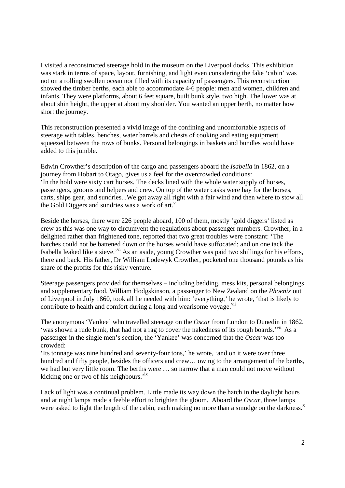I visited a reconstructed steerage hold in the museum on the Liverpool docks. This exhibition was stark in terms of space, layout, furnishing, and light even considering the fake 'cabin' was not on a rolling swollen ocean nor filled with its capacity of passengers. This reconstruction showed the timber berths, each able to accommodate 4-6 people: men and women, children and infants. They were platforms, about 6 feet square, built bunk style, two high. The lower was at about shin height, the upper at about my shoulder. You wanted an upper berth, no matter how short the journey.

This reconstruction presented a vivid image of the confining and uncomfortable aspects of steerage with tables, benches, water barrels and chests of cooking and eating equipment squeezed between the rows of bunks. Personal belongings in baskets and bundles would have added to this jumble.

Edwin Crowther's description of the cargo and passengers aboard the *Isabella* in 1862, on a journey from Hobart to Otago, gives us a feel for the overcrowded conditions: 'In the hold were sixty cart horses. The decks lined with the whole water supply of horses, passengers, grooms and helpers and crew. On top of the water casks were hay for the horses, carts, ships gear, and sundries...We got away all right with a fair wind and then where to stow all the Gold Diggers and sundries was a work of art.<sup>v</sup>

Beside the horses, there were 226 people aboard, 100 of them, mostly 'gold diggers' listed as crew as this was one way to circumvent the regulations about passenger numbers. Crowther, in a delighted rather than frightened tone, reported that two great troubles were constant: 'The hatches could not be battened down or the horses would have suffocated; and on one tack the Isabella leaked like a sieve.'vi As an aside, young Crowther was paid two shillings for his efforts, there and back. His father, Dr William Lodewyk Crowther, pocketed one thousand pounds as his share of the profits for this risky venture.

Steerage passengers provided for themselves – including bedding, mess kits, personal belongings and supplementary food. William Hodgskinson, a passenger to New Zealand on the *Phoenix* out of Liverpool in July 1860, took all he needed with him: 'everything,' he wrote, 'that is likely to contribute to health and comfort during a long and wearisome voyage.<sup>vii</sup>

The anonymous 'Yankee' who travelled steerage on the *Oscar* from London to Dunedin in 1862, 'was shown a rude bunk, that had not a rag to cover the nakedness of its rough boards.'viii As a passenger in the single men's section, the 'Yankee' was concerned that the *Oscar* was too crowded:

'Its tonnage was nine hundred and seventy-four tons,' he wrote, 'and on it were over three hundred and fifty people, besides the officers and crew... owing to the arrangement of the berths, we had but very little room. The berths were … so narrow that a man could not move without kicking one or two of his neighbours.<sup>11X</sup>

Lack of light was a continual problem. Little made its way down the hatch in the daylight hours and at night lamps made a feeble effort to brighten the gloom. Aboard the *Oscar*, three lamps were asked to light the length of the cabin, each making no more than a smudge on the darkness. $^x$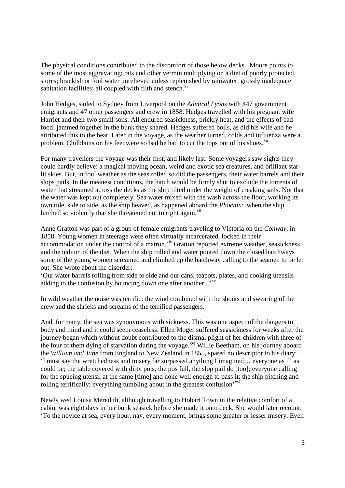The physical conditions contributed to the discomfort of those below decks. Moore points to some of the most aggravating: rats and other vermin multiplying on a diet of poorly protected stores; brackish or foul water unrelieved unless replenished by rainwater, grossly inadequate sanitation facilities; all coupled with filth and stench.<sup>xi</sup>

John Hedges, sailed to Sydney from Liverpool on the *Admiral Lyons* with 447 government emigrants and 47 other passengers and crew in 1858. Hedges travelled with his pregnant wife Harriet and their two small sons. All endured seasickness, prickly heat, and the effects of bad food: jammed together in the bunk they shared. Hedges suffered boils, as did his wife and he attributed this to the heat. Later in the voyage, as the weather turned, colds and influenza were a problem. Chilblains on his feet were so bad he had to cut the tops out of his shoes.<sup>xii</sup>

For many travellers the voyage was their first, and likely last. Some voyagers saw sights they could hardly believe: a magical moving ocean, weird and exotic sea creatures, and brilliant starlit skies. But, in foul weather as the seas rolled so did the passengers, their water barrels and their slops pails. In the meanest conditions, the hatch would be firmly shut to exclude the torrents of water that streamed across the decks as the ship tilted under the weight of creaking sails. Not that the water was kept out completely. Sea water mixed with the wash across the floor, working its own tide, side to side, as the ship heaved, as happened aboard the *Phoenix*: when the ship lurched so violently that she threatened not to right again.<sup>xiii</sup>

Anne Gratton was part of a group of female emigrants traveling to Victoria on the *Conway*, in 1858. Young women in steerage were often virtually incarcerated, locked in their accommodation under the control of a matron.<sup>xiv</sup> Gratton reported extreme weather, seasickness and the tedium of the diet. When the ship rolled and water poured down the closed hatchways some of the young women screamed and climbed up the hatchway calling to the seamen to be let out. She wrote about the disorder:

'Our water barrels rolling from side to side and our cans, teapots, plates, and cooking utensils adding to the confusion by bouncing down one after another...<sup>, xv</sup>

In wild weather the noise was terrific: the wind combined with the shouts and swearing of the crew and the shrieks and screams of the terrified passengers.

And, for many, the sea was synonymous with sickness. This was one aspect of the dangers to body and mind and it could seem ceaseless. Ellen Moger suffered seasickness for weeks after the journey began which without doubt contributed to the dismal plight of her children with three of the four of them dying of starvation during the voyage.<sup>xvi</sup> Willie Beetham, on his journey aboard the *William and Jane* from England to New Zealand in 1855, spared no descriptor to his diary: 'I must say the wretchedness and misery far surpassed anything I imagined… everyone as ill as could be; the table covered with dirty pots, the pos full, the slop pail do [too]; everyone calling for the spueing utensil at the same [time] and none well enough to pass it; the ship pitching and rolling terrifically; everything tumbling about in the greatest confusion'<sup>xvii</sup>

Newly wed Louisa Meredith, although travelling to Hobart Town in the relative comfort of a cabin, was eight days in her bunk seasick before she made it onto deck. She would later recount: 'To the novice at sea, every hour, nay, every moment, brings some greater or lesser misery. Even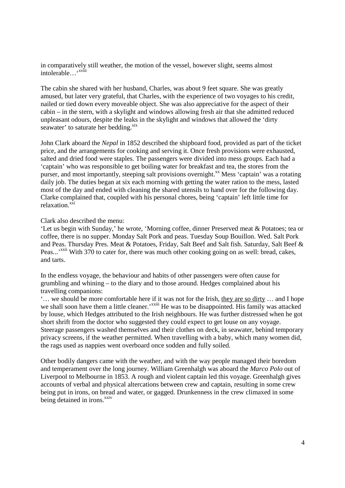in comparatively still weather, the motion of the vessel, however slight, seems almost intolerable…
<sup>\*\*viii</sup>

The cabin she shared with her husband, Charles, was about 9 feet square. She was greatly amused, but later very grateful, that Charles, with the experience of two voyages to his credit, nailed or tied down every moveable object. She was also appreciative for the aspect of their cabin – in the stern, with a skylight and windows allowing fresh air that she admitted reduced unpleasant odours, despite the leaks in the skylight and windows that allowed the 'dirty seawater' to saturate her bedding.<sup>xix</sup>

John Clark aboard the *Nepal* in 1852 described the shipboard food, provided as part of the ticket price, and the arrangements for cooking and serving it. Once fresh provisions were exhausted, salted and dried food were staples. The passengers were divided into mess groups. Each had a 'captain' who was responsible to get boiling water for breakfast and tea, the stores from the purser, and most importantly, steeping salt provisions overnight.<sup>xx</sup> Mess 'captain' was a rotating daily job. The duties began at six each morning with getting the water ration to the mess, lasted most of the day and ended with cleaning the shared utensils to hand over for the following day. Clarke complained that, coupled with his personal chores, being 'captain' left little time for relaxation.<sup>xxi</sup>

Clark also described the menu:

'Let us begin with Sunday,' he wrote, 'Morning coffee, dinner Preserved meat & Potatoes; tea or coffee, there is no supper. Monday Salt Pork and peas. Tuesday Soup Bouillon. Wed. Salt Pork and Peas. Thursday Pres. Meat & Potatoes, Friday, Salt Beef and Salt fish. Saturday, Salt Beef & Peas...<sup>'xxii</sup> With 370 to cater for, there was much other cooking going on as well: bread, cakes, and tarts.

In the endless voyage, the behaviour and habits of other passengers were often cause for grumbling and whining – to the diary and to those around. Hedges complained about his travelling companions:

'… we should be more comfortable here if it was not for the Irish, they are so dirty … and I hope we shall soon have them a little cleaner.<sup>'xxiii</sup> He was to be disappointed. His family was attacked by louse, which Hedges attributed to the Irish neighbours. He was further distressed when he got short shrift from the doctor who suggested they could expect to get louse on any voyage. Steerage passengers washed themselves and their clothes on deck, in seawater, behind temporary privacy screens, if the weather permitted. When travelling with a baby, which many women did, the rags used as nappies went overboard once sodden and fully soiled.

Other bodily dangers came with the weather, and with the way people managed their boredom and temperament over the long journey. William Greenhalgh was aboard the *Marco Polo* out of Liverpool to Melbourne in 1853. A rough and violent captain led this voyage. Greenhalgh gives accounts of verbal and physical altercations between crew and captain, resulting in some crew being put in irons, on bread and water, or gagged. Drunkenness in the crew climaxed in some being detained in irons.<sup>xxiv</sup>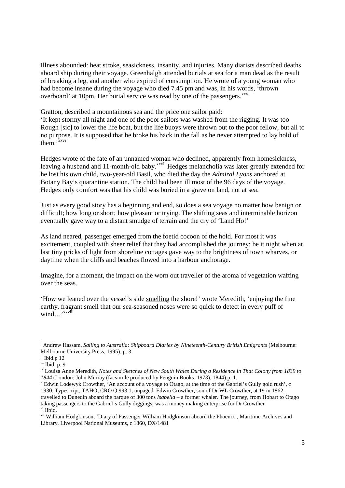Illness abounded: heat stroke, seasickness, insanity, and injuries. Many diarists described deaths aboard ship during their voyage. Greenhalgh attended burials at sea for a man dead as the result of breaking a leg, and another who expired of consumption. He wrote of a young woman who had become insane during the voyage who died 7.45 pm and was, in his words, 'thrown overboard' at 10pm. Her burial service was read by one of the passengers.<sup>xxv</sup>

Gratton, described a mountainous sea and the price one sailor paid:

'It kept stormy all night and one of the poor sailors was washed from the rigging. It was too Rough [sic] to lower the life boat, but the life buoys were thrown out to the poor fellow, but all to no purpose. It is supposed that he broke his back in the fall as he never attempted to lay hold of  $\text{them.}^{\overline{\text{xxvi}}}$ 

Hedges wrote of the fate of an unnamed woman who declined, apparently from homesickness, leaving a husband and 11-month-old baby.<sup>xxvii</sup> Hedges melancholia was later greatly extended for he lost his own child, two-year-old Basil, who died the day the *Admiral Lyons* anchored at Botany Bay's quarantine station. The child had been ill most of the 96 days of the voyage. Hedges only comfort was that his child was buried in a grave on land, not at sea.

Just as every good story has a beginning and end, so does a sea voyage no matter how benign or difficult; how long or short; how pleasant or trying. The shifting seas and interminable horizon eventually gave way to a distant smudge of terrain and the cry of 'Land Ho!'

As land neared, passenger emerged from the foetid cocoon of the hold. For most it was excitement, coupled with sheer relief that they had accomplished the journey: be it night when at last tiny pricks of light from shoreline cottages gave way to the brightness of town wharves, or daytime when the cliffs and beaches flowed into a harbour anchorage.

Imagine, for a moment, the impact on the worn out traveller of the aroma of vegetation wafting over the seas.

'How we leaned over the vessel's side smelling the shore!' wrote Meredith, 'enjoying the fine earthy, fragrant smell that our sea-seasoned noses were so quick to detect in every puff of wind…'<sup>xxviii</sup>

.

<sup>&</sup>lt;sup>i</sup> Andrew Hassam, *Sailing to Australia: Shipboard Diaries by Nineteenth-Century British Emigrants* (Melbourne: Melbourne University Press, 1995). p. 3

ii Ibid.p 12

iii Ibid. p. 9

iv Louisa Anne Meredith, *Notes and Sketches of New South Wales During a Residence in That Colony from 1839 to 1844* (London: John Murray (facsimile produced by Penguin Books, 1973), 1844).p. 1.

<sup>&</sup>lt;sup>v</sup> Edwin Lodewyk Crowther, 'An account of a voyage to Otago, at the time of the Gabriel's Gully gold rush', c 1930, Typescript, TAHO, CRO Q 993.1, unpaged. Edwin Crowther, son of Dr WL Crowther, at 19 in 1862, travelled to Dunedin aboard the barque of 300 tons *Isabella* – a former whaler. The journey, from Hobart to Otago taking passengers to the Gabriel's Gully diggings, was a money making enterprise for Dr Crowther vi Iibid.

vii William Hodgkinson, 'Diary of Passenger William Hodgkinson aboard the Phoenix', Maritime Archives and Library, Liverpool National Museums, c 1860, DX/1481